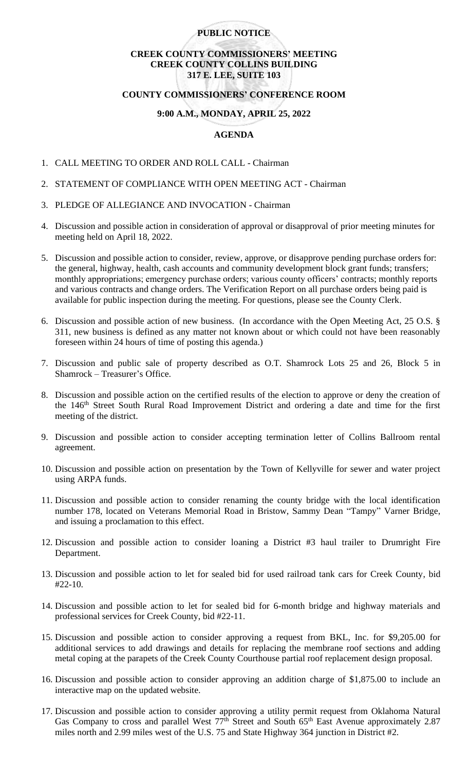## **PUBLIC NOTICE**

# **CREEK COUNTY COMMISSIONERS' MEETING CREEK COUNTY COLLINS BUILDING 317 E. LEE, SUITE 103**

#### **COUNTY COMMISSIONERS' CONFERENCE ROOM**

### **9:00 A.M., MONDAY, APRIL 25, 2022**

## **AGENDA**

- 1. CALL MEETING TO ORDER AND ROLL CALL Chairman
- 2. STATEMENT OF COMPLIANCE WITH OPEN MEETING ACT Chairman
- 3. PLEDGE OF ALLEGIANCE AND INVOCATION Chairman
- 4. Discussion and possible action in consideration of approval or disapproval of prior meeting minutes for meeting held on April 18, 2022.
- 5. Discussion and possible action to consider, review, approve, or disapprove pending purchase orders for: the general, highway, health, cash accounts and community development block grant funds; transfers; monthly appropriations; emergency purchase orders; various county officers' contracts; monthly reports and various contracts and change orders. The Verification Report on all purchase orders being paid is available for public inspection during the meeting. For questions, please see the County Clerk.
- 6. Discussion and possible action of new business. (In accordance with the Open Meeting Act, 25 O.S. § 311, new business is defined as any matter not known about or which could not have been reasonably foreseen within 24 hours of time of posting this agenda.)
- 7. Discussion and public sale of property described as O.T. Shamrock Lots 25 and 26, Block 5 in Shamrock – Treasurer's Office.
- 8. Discussion and possible action on the certified results of the election to approve or deny the creation of the 146<sup>th</sup> Street South Rural Road Improvement District and ordering a date and time for the first meeting of the district.
- 9. Discussion and possible action to consider accepting termination letter of Collins Ballroom rental agreement.
- 10. Discussion and possible action on presentation by the Town of Kellyville for sewer and water project using ARPA funds.
- 11. Discussion and possible action to consider renaming the county bridge with the local identification number 178, located on Veterans Memorial Road in Bristow, Sammy Dean "Tampy" Varner Bridge, and issuing a proclamation to this effect.
- 12. Discussion and possible action to consider loaning a District #3 haul trailer to Drumright Fire Department.
- 13. Discussion and possible action to let for sealed bid for used railroad tank cars for Creek County, bid #22-10.
- 14. Discussion and possible action to let for sealed bid for 6-month bridge and highway materials and professional services for Creek County, bid #22-11.
- 15. Discussion and possible action to consider approving a request from BKL, Inc. for \$9,205.00 for additional services to add drawings and details for replacing the membrane roof sections and adding metal coping at the parapets of the Creek County Courthouse partial roof replacement design proposal.
- 16. Discussion and possible action to consider approving an addition charge of \$1,875.00 to include an interactive map on the updated website.
- 17. Discussion and possible action to consider approving a utility permit request from Oklahoma Natural Gas Company to cross and parallel West  $77<sup>th</sup>$  Street and South  $65<sup>th</sup>$  East Avenue approximately 2.87 miles north and 2.99 miles west of the U.S. 75 and State Highway 364 junction in District #2.